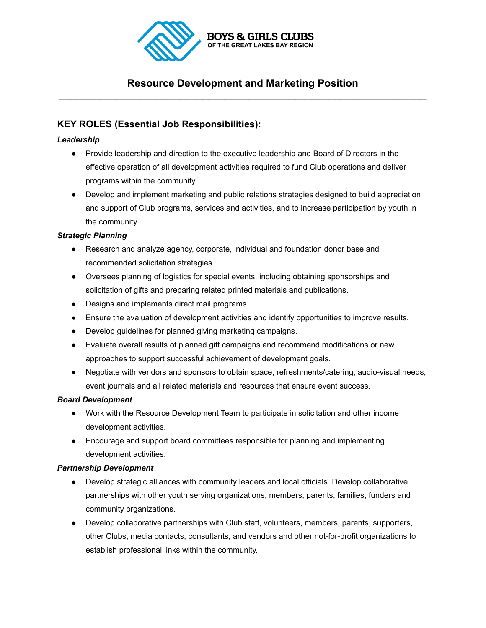

# **Resource Development and Marketing Position \_\_\_\_\_\_\_\_\_\_\_\_\_\_\_\_\_\_\_\_\_\_\_\_\_\_\_\_\_\_\_\_\_\_\_\_\_\_\_\_\_\_\_\_\_\_\_\_\_\_\_\_\_\_\_\_\_\_\_\_\_\_\_\_**

# **KEY ROLES (Essential Job Responsibilities):**

# *Leadership*

- Provide leadership and direction to the executive leadership and Board of Directors in the effective operation of all development activities required to fund Club operations and deliver programs within the community.
- Develop and implement marketing and public relations strategies designed to build appreciation and support of Club programs, services and activities, and to increase participation by youth in the community.

# *Strategic Planning*

- Research and analyze agency, corporate, individual and foundation donor base and recommended solicitation strategies.
- Oversees planning of logistics for special events, including obtaining sponsorships and solicitation of gifts and preparing related printed materials and publications.
- Designs and implements direct mail programs.
- Ensure the evaluation of development activities and identify opportunities to improve results.
- Develop guidelines for planned giving marketing campaigns.
- Evaluate overall results of planned gift campaigns and recommend modifications or new approaches to support successful achievement of development goals.
- Negotiate with vendors and sponsors to obtain space, refreshments/catering, audio-visual needs, event journals and all related materials and resources that ensure event success.

# *Board Development*

- Work with the Resource Development Team to participate in solicitation and other income development activities.
- Encourage and support board committees responsible for planning and implementing development activities.

# *Partnership Development*

- Develop strategic alliances with community leaders and local officials. Develop collaborative partnerships with other youth serving organizations, members, parents, families, funders and community organizations.
- Develop collaborative partnerships with Club staff, volunteers, members, parents, supporters, other Clubs, media contacts, consultants, and vendors and other not-for-profit organizations to establish professional links within the community.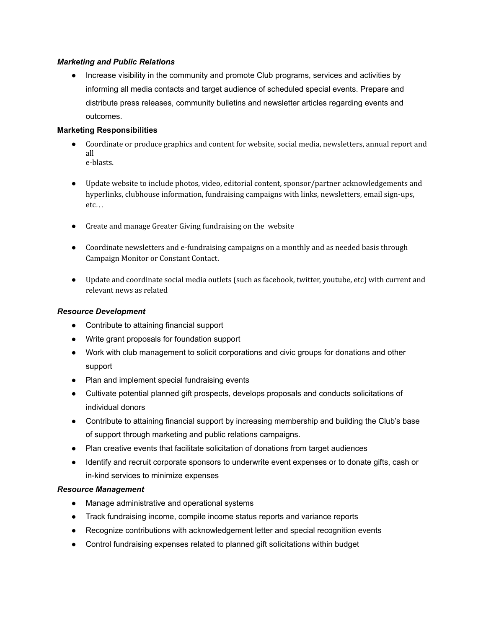#### *Marketing and Public Relations*

● Increase visibility in the community and promote Club programs, services and activities by informing all media contacts and target audience of scheduled special events. Prepare and distribute press releases, community bulletins and newsletter articles regarding events and outcomes.

#### **Marketing Responsibilities**

- Coordinate or produce graphics and content for website, social media, newsletters, annual report and all e-blasts.
- Update website to include photos, video, editorial content, sponsor/partner acknowledgements and hyperlinks, clubhouse information, fundraising campaigns with links, newsletters, email sign-ups, etc…
- Create and manage Greater Giving fundraising on the website
- Coordinate newsletters and e-fundraising campaigns on a monthly and as needed basis through Campaign Monitor or Constant Contact.
- Update and coordinate social media outlets (such as facebook, twitter, youtube, etc) with current and relevant news as related

#### *Resource Development*

- Contribute to attaining financial support
- Write grant proposals for foundation support
- Work with club management to solicit corporations and civic groups for donations and other support
- Plan and implement special fundraising events
- Cultivate potential planned gift prospects, develops proposals and conducts solicitations of individual donors
- Contribute to attaining financial support by increasing membership and building the Club's base of support through marketing and public relations campaigns.
- Plan creative events that facilitate solicitation of donations from target audiences
- Identify and recruit corporate sponsors to underwrite event expenses or to donate gifts, cash or in-kind services to minimize expenses

# *Resource Management*

- Manage administrative and operational systems
- Track fundraising income, compile income status reports and variance reports
- Recognize contributions with acknowledgement letter and special recognition events
- Control fundraising expenses related to planned gift solicitations within budget